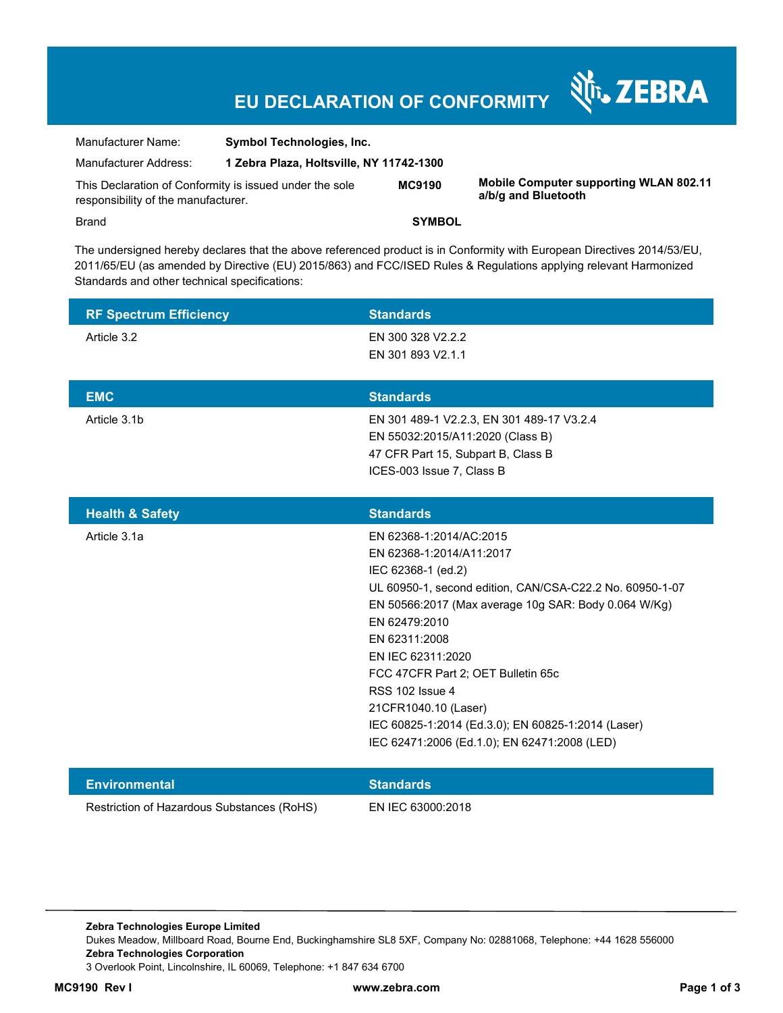# **EU DECLARATION OF CONFORMITY**

| Manufacturer Name:                                      | <b>Symbol Technologies, Inc.</b>         |               |
|---------------------------------------------------------|------------------------------------------|---------------|
| Manufacturer Address:                                   | 1 Zebra Plaza, Holtsville, NY 11742-1300 |               |
| This Declaration of Conformity is issued under the sole |                                          | <b>MC9190</b> |

**MC9190 Mobile Computer supporting WLAN 802.11 a/b/g and Bluetooth** 

N<sub>T</sub>, ZEBRA

responsibility of the manufacturer.

Brand **SYMBOL** 

The undersigned hereby declares that the above referenced product is in Conformity with European Directives 2014/53/EU, 2011/65/EU (as amended by Directive (EU) 2015/863) and FCC/ISED Rules & Regulations applying relevant Harmonized Standards and other technical specifications:

| <b>RF Spectrum Efficiency</b>              | <b>Standards</b>                                         |
|--------------------------------------------|----------------------------------------------------------|
| Article 3.2                                | EN 300 328 V2.2.2                                        |
|                                            | EN 301 893 V2.1.1                                        |
|                                            |                                                          |
| <b>EMC</b>                                 | <b>Standards</b>                                         |
| Article 3.1b                               | EN 301 489-1 V2.2.3, EN 301 489-17 V3.2.4                |
|                                            | EN 55032:2015/A11:2020 (Class B)                         |
|                                            | 47 CFR Part 15, Subpart B, Class B                       |
|                                            | ICES-003 Issue 7, Class B                                |
|                                            |                                                          |
| <b>Health &amp; Safety</b>                 | <b>Standards</b>                                         |
| Article 3.1a                               | EN 62368-1:2014/AC:2015                                  |
|                                            | EN 62368-1:2014/A11:2017                                 |
|                                            | IEC 62368-1 (ed.2)                                       |
|                                            | UL 60950-1, second edition, CAN/CSA-C22.2 No. 60950-1-07 |
|                                            | EN 50566:2017 (Max average 10g SAR: Body 0.064 W/Kg)     |
|                                            | EN 62479:2010                                            |
|                                            | EN 62311:2008<br>EN IEC 62311:2020                       |
|                                            | FCC 47CFR Part 2; OET Bulletin 65c                       |
|                                            | RSS 102 Issue 4                                          |
|                                            | 21CFR1040.10 (Laser)                                     |
|                                            | IEC 60825-1:2014 (Ed.3.0); EN 60825-1:2014 (Laser)       |
|                                            | IEC 62471:2006 (Ed.1.0); EN 62471:2008 (LED)             |
|                                            |                                                          |
| <b>Environmental</b>                       | <b>Standards</b>                                         |
| Restriction of Hazardous Substances (RoHS) | EN IEC 63000:2018                                        |

**Zebra Technologies Europe Limited**  Dukes Meadow, Millboard Road, Bourne End, Buckinghamshire SL8 5XF, Company No: 02881068, Telephone: +44 1628 556000 **Zebra Technologies Corporation**  3 Overlook Point, Lincolnshire, IL 60069, Telephone: +1 847 634 6700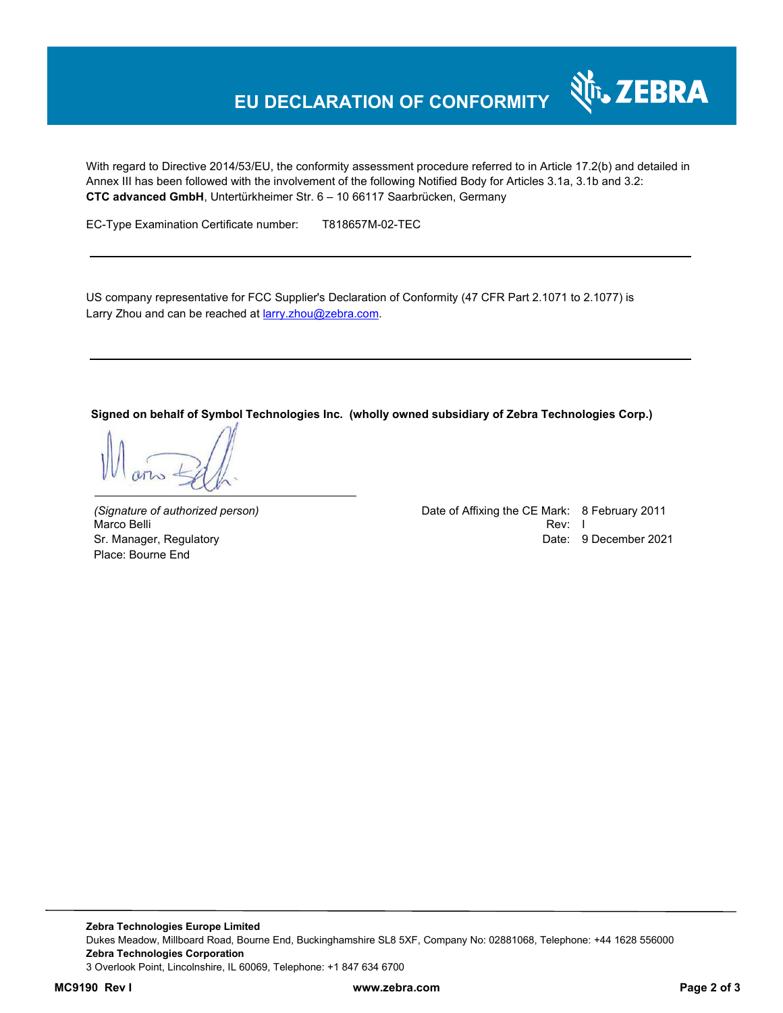# **EU DECLARATION OF CONFORMITY**

With regard to Directive 2014/53/EU, the conformity assessment procedure referred to in Article 17.2(b) and detailed in Annex III has been followed with the involvement of the following Notified Body for Articles 3.1a, 3.1b and 3.2: **CTC advanced GmbH**, Untertürkheimer Str. 6 – 10 66117 Saarbrücken, Germany

EC-Type Examination Certificate number: T818657M-02-TEC

US company representative for FCC Supplier's Declaration of Conformity (47 CFR Part 2.1071 to 2.1077) is Larry Zhou and can be reached at **larry.zhou@zebra.com.** 

**Signed on behalf of Symbol Technologies Inc. (wholly owned subsidiary of Zebra Technologies Corp.)** 

Marco Belli Place: Bourne End

*(Signature of authorized person)* Date of Affixing the CE Mark: 8 February 2011 Sr. Manager, Regulatory **Date: 9 December 2021 Date: 9 December 2021** 

र्शे<sub>ं</sub> ZEBRA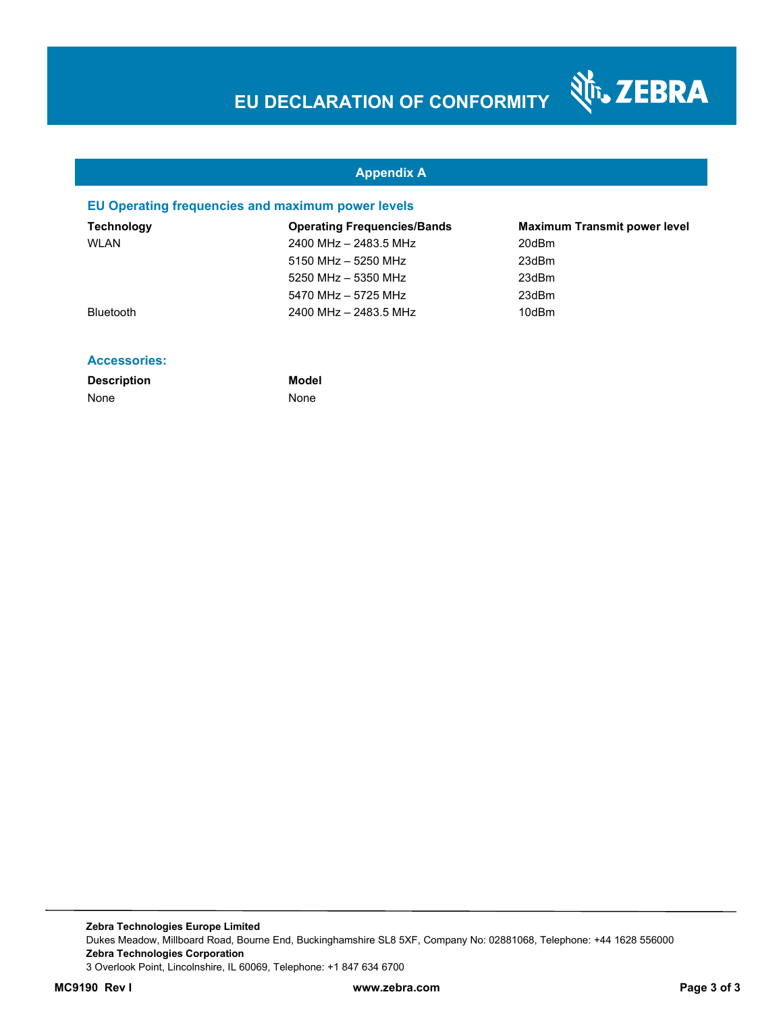श्री<sub>1</sub>, ZEBRA

### **Appendix A**

#### **EU Operating frequencies and maximum power levels**

| Technology       | <b>Operating Frequencies/Bands</b> | <b>Maximum Transmit power level</b> |
|------------------|------------------------------------|-------------------------------------|
| WLAN             | 2400 MHz - 2483.5 MHz              | 20dBm                               |
|                  | 5150 MHz - 5250 MHz                | 23dBm                               |
|                  | 5250 MHz - 5350 MHz                | 23dBm                               |
|                  | 5470 MHz - 5725 MHz                | 23dBm                               |
| <b>Bluetooth</b> | 2400 MHz - 2483.5 MHz              | 10dBm                               |
|                  |                                    |                                     |

#### **Accessories:**

| <b>Description</b> |  |
|--------------------|--|
| None               |  |

**Model None**